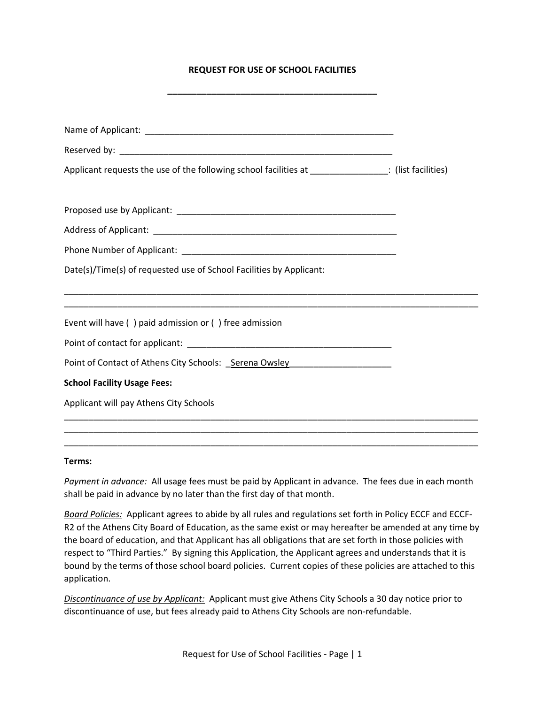## **REQUEST FOR USE OF SCHOOL FACILITIES**

| Applicant requests the use of the following school facilities at ________________: (list facilities)                                                                            |  |
|---------------------------------------------------------------------------------------------------------------------------------------------------------------------------------|--|
|                                                                                                                                                                                 |  |
|                                                                                                                                                                                 |  |
|                                                                                                                                                                                 |  |
| Date(s)/Time(s) of requested use of School Facilities by Applicant:                                                                                                             |  |
| <u> 1989 - Johann John Stoff, deutscher Stoffen und der Stoffen und der Stoffen und der Stoffen und der Stoffen u</u><br>Event will have () paid admission or () free admission |  |
|                                                                                                                                                                                 |  |
| Point of Contact of Athens City Schools: _Serena Owsley ________________________                                                                                                |  |
| <b>School Facility Usage Fees:</b>                                                                                                                                              |  |
| Applicant will pay Athens City Schools                                                                                                                                          |  |
|                                                                                                                                                                                 |  |

## **Terms:**

*Payment in advance:* All usage fees must be paid by Applicant in advance. The fees due in each month shall be paid in advance by no later than the first day of that month.

\_\_\_\_\_\_\_\_\_\_\_\_\_\_\_\_\_\_\_\_\_\_\_\_\_\_\_\_\_\_\_\_\_\_\_\_\_\_\_\_\_\_\_\_\_\_\_\_\_\_\_\_\_\_\_\_\_\_\_\_\_\_\_\_\_\_\_\_\_\_\_\_\_\_\_\_\_\_\_\_\_\_\_\_\_

*Board Policies:* Applicant agrees to abide by all rules and regulations set forth in Policy ECCF and ECCF-R2 of the Athens City Board of Education, as the same exist or may hereafter be amended at any time by the board of education, and that Applicant has all obligations that are set forth in those policies with respect to "Third Parties." By signing this Application, the Applicant agrees and understands that it is bound by the terms of those school board policies. Current copies of these policies are attached to this application.

*Discontinuance of use by Applicant:* Applicant must give Athens City Schools a 30 day notice prior to discontinuance of use, but fees already paid to Athens City Schools are non-refundable.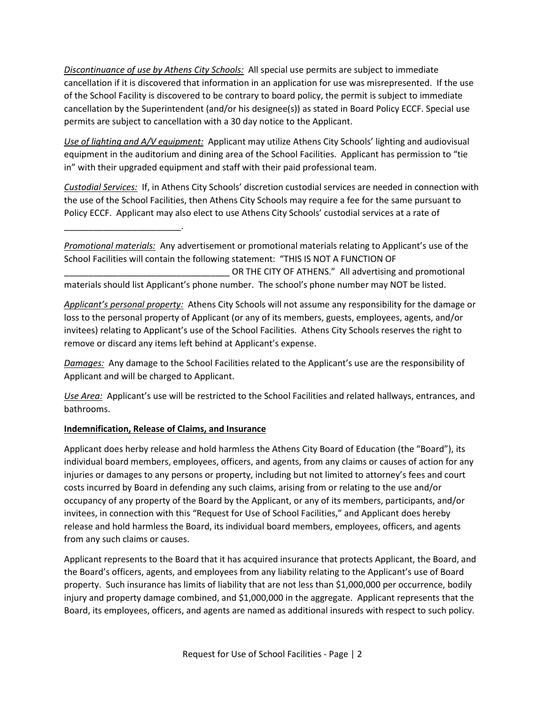*Discontinuance of use by Athens City Schools:* All special use permits are subject to immediate cancellation if it is discovered that information in an application for use was misrepresented. If the use of the School Facility is discovered to be contrary to board policy, the permit is subject to immediate cancellation by the Superintendent (and/or his designee(s)) as stated in Board Policy ECCF. Special use permits are subject to cancellation with a 30 day notice to the Applicant.

*Use of lighting and A/V equipment:* Applicant may utilize Athens City Schools' lighting and audiovisual equipment in the auditorium and dining area of the School Facilities. Applicant has permission to "tie in" with their upgraded equipment and staff with their paid professional team.

*Custodial Services:* If, in Athens City Schools' discretion custodial services are needed in connection with the use of the School Facilities, then Athens City Schools may require a fee for the same pursuant to Policy ECCF. Applicant may also elect to use Athens City Schools' custodial services at a rate of

*Promotional materials:* Any advertisement or promotional materials relating to Applicant's use of the School Facilities will contain the following statement: "THIS IS NOT A FUNCTION OF OR THE CITY OF ATHENS." All advertising and promotional materials should list Applicant's phone number. The school's phone number may NOT be listed.

*Applicant's personal property:* Athens City Schools will not assume any responsibility for the damage or loss to the personal property of Applicant (or any of its members, guests, employees, agents, and/or invitees) relating to Applicant's use of the School Facilities. Athens City Schools reserves the right to remove or discard any items left behind at Applicant's expense.

*Damages:* Any damage to the School Facilities related to the Applicant's use are the responsibility of Applicant and will be charged to Applicant.

*Use Area:* Applicant's use will be restricted to the School Facilities and related hallways, entrances, and bathrooms.

## **Indemnification, Release of Claims, and Insurance**

\_\_\_\_\_\_\_\_\_\_\_\_\_\_\_\_\_\_\_\_\_\_\_\_.

Applicant does herby release and hold harmless the Athens City Board of Education (the "Board"), its individual board members, employees, officers, and agents, from any claims or causes of action for any injuries or damages to any persons or property, including but not limited to attorney's fees and court costs incurred by Board in defending any such claims, arising from or relating to the use and/or occupancy of any property of the Board by the Applicant, or any of its members, participants, and/or invitees, in connection with this "Request for Use of School Facilities," and Applicant does hereby release and hold harmless the Board, its individual board members, employees, officers, and agents from any such claims or causes.

Applicant represents to the Board that it has acquired insurance that protects Applicant, the Board, and the Board's officers, agents, and employees from any liability relating to the Applicant's use of Board property. Such insurance has limits of liability that are not less than \$1,000,000 per occurrence, bodily injury and property damage combined, and \$1,000,000 in the aggregate. Applicant represents that the Board, its employees, officers, and agents are named as additional insureds with respect to such policy.